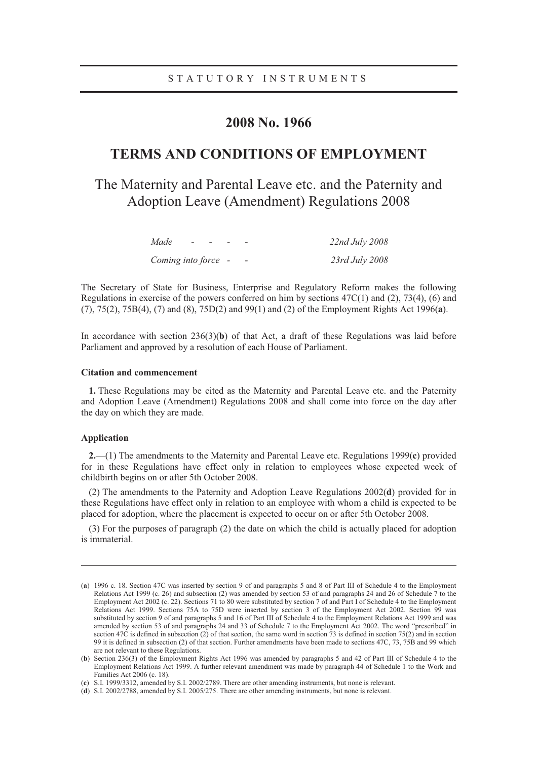# **2008 No. 1966**

# **TERMS AND CONDITIONS OF EMPLOYMENT**

# The Maternity and Parental Leave etc. and the Paternity and Adoption Leave (Amendment) Regulations 2008

| Made                | $\overline{\phantom{0}}$ | $\overline{\phantom{a}}$ |                          | 22nd July 2008 |
|---------------------|--------------------------|--------------------------|--------------------------|----------------|
| Coming into force - |                          |                          | $\overline{\phantom{0}}$ | 23rd July 2008 |

The Secretary of State for Business, Enterprise and Regulatory Reform makes the following Regulations in exercise of the powers conferred on him by sections  $47C(1)$  and  $(2)$ ,  $73(4)$ ,  $(6)$  and (7), 75(2), 75B(4), (7) and (8), 75D(2) and 99(1) and (2) of the Employment Rights Act 1996(**a**).

In accordance with section 236(3)(**b**) of that Act, a draft of these Regulations was laid before Parliament and approved by a resolution of each House of Parliament.

### **Citation and commencement**

**1.** These Regulations may be cited as the Maternity and Parental Leave etc. and the Paternity and Adoption Leave (Amendment) Regulations 2008 and shall come into force on the day after the day on which they are made.

## **Application**

-

**2.**—(1) The amendments to the Maternity and Parental Leave etc. Regulations 1999(**c**) provided for in these Regulations have effect only in relation to employees whose expected week of childbirth begins on or after 5th October 2008.

(2) The amendments to the Paternity and Adoption Leave Regulations 2002(**d**) provided for in these Regulations have effect only in relation to an employee with whom a child is expected to be placed for adoption, where the placement is expected to occur on or after 5th October 2008.

(3) For the purposes of paragraph (2) the date on which the child is actually placed for adoption is immaterial.

<sup>(</sup>**a**) 1996 c. 18. Section 47C was inserted by section 9 of and paragraphs 5 and 8 of Part III of Schedule 4 to the Employment Relations Act 1999 (c. 26) and subsection (2) was amended by section 53 of and paragraphs 24 and 26 of Schedule 7 to the Employment Act 2002 (c. 22). Sections 71 to 80 were substituted by section 7 of and Part I of Schedule 4 to the Employment Relations Act 1999. Sections 75A to 75D were inserted by section 3 of the Employment Act 2002. Section 99 was substituted by section 9 of and paragraphs 5 and 16 of Part III of Schedule 4 to the Employment Relations Act 1999 and was amended by section 53 of and paragraphs 24 and 33 of Schedule 7 to the Employment Act 2002. The word "prescribed" in section 47C is defined in subsection (2) of that section, the same word in section 73 is defined in section 75(2) and in section 99 it is defined in subsection (2) of that section. Further amendments have been made to sections 47C, 73, 75B and 99 which are not relevant to these Regulations.

<sup>(</sup>**b**) Section 236(3) of the Employment Rights Act 1996 was amended by paragraphs 5 and 42 of Part III of Schedule 4 to the Employment Relations Act 1999. A further relevant amendment was made by paragraph 44 of Schedule 1 to the Work and Families Act 2006 (c. 18).

<sup>(</sup>**c**) S.I. 1999/3312, amended by S.I. 2002/2789. There are other amending instruments, but none is relevant.

<sup>(</sup>**d**) S.I. 2002/2788, amended by S.I. 2005/275. There are other amending instruments, but none is relevant.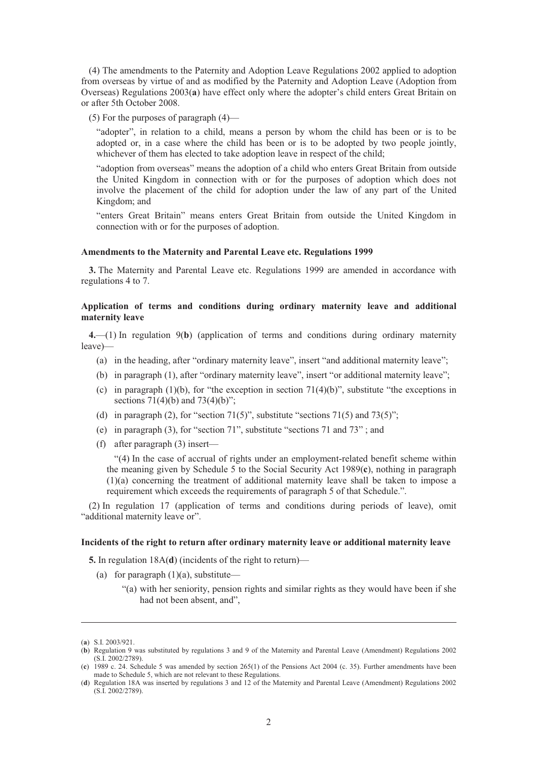(4) The amendments to the Paternity and Adoption Leave Regulations 2002 applied to adoption from overseas by virtue of and as modified by the Paternity and Adoption Leave (Adoption from Overseas) Regulations 2003(**a**) have effect only where the adopter's child enters Great Britain on or after 5th October 2008.

(5) For the purposes of paragraph (4)—

"adopter", in relation to a child, means a person by whom the child has been or is to be adopted or, in a case where the child has been or is to be adopted by two people jointly, whichever of them has elected to take adoption leave in respect of the child;

"adoption from overseas" means the adoption of a child who enters Great Britain from outside the United Kingdom in connection with or for the purposes of adoption which does not involve the placement of the child for adoption under the law of any part of the United Kingdom; and

"enters Great Britain" means enters Great Britain from outside the United Kingdom in connection with or for the purposes of adoption.

## **Amendments to the Maternity and Parental Leave etc. Regulations 1999**

**3.** The Maternity and Parental Leave etc. Regulations 1999 are amended in accordance with regulations 4 to 7.

# **Application of terms and conditions during ordinary maternity leave and additional maternity leave**

**4.**—(1) In regulation 9(**b**) (application of terms and conditions during ordinary maternity leave)—

- (a) in the heading, after "ordinary maternity leave", insert "and additional maternity leave";
- (b) in paragraph (1), after "ordinary maternity leave", insert "or additional maternity leave";
- (c) in paragraph  $(1)(b)$ , for "the exception in section 71(4)(b)", substitute "the exceptions in sections  $71(4)(b)$  and  $73(4)(b)$ ";
- (d) in paragraph (2), for "section 71(5)", substitute "sections 71(5) and 73(5)";
- (e) in paragraph (3), for "section 71", substitute "sections 71 and 73" ; and
- (f) after paragraph (3) insert—

"(4) In the case of accrual of rights under an employment-related benefit scheme within the meaning given by Schedule 5 to the Social Security Act 1989(**c**), nothing in paragraph (1)(a) concerning the treatment of additional maternity leave shall be taken to impose a requirement which exceeds the requirements of paragraph 5 of that Schedule.".

(2) In regulation 17 (application of terms and conditions during periods of leave), omit "additional maternity leave or".

#### **Incidents of the right to return after ordinary maternity leave or additional maternity leave**

**5.** In regulation 18A(**d**) (incidents of the right to return)—

- (a) for paragraph  $(1)(a)$ , substitute—
	- "(a) with her seniority, pension rights and similar rights as they would have been if she had not been absent, and",

-

<sup>(</sup>**a**) S.I. 2003/921.

<sup>(</sup>**b**) Regulation 9 was substituted by regulations 3 and 9 of the Maternity and Parental Leave (Amendment) Regulations 2002 (S.I. 2002/2789).

<sup>(</sup>**c**) 1989 c. 24. Schedule 5 was amended by section 265(1) of the Pensions Act 2004 (c. 35). Further amendments have been made to Schedule 5, which are not relevant to these Regulations.

<sup>(</sup>**d**) Regulation 18A was inserted by regulations 3 and 12 of the Maternity and Parental Leave (Amendment) Regulations 2002 (S.I. 2002/2789).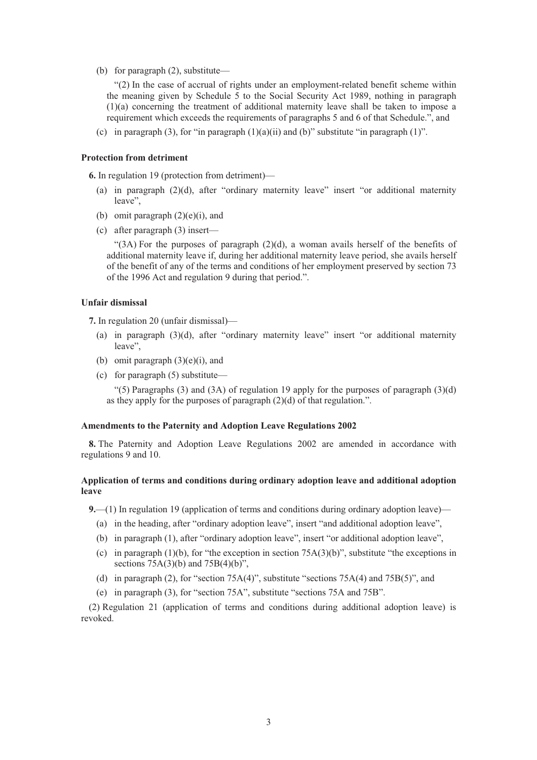(b) for paragraph (2), substitute—

"(2) In the case of accrual of rights under an employment-related benefit scheme within the meaning given by Schedule 5 to the Social Security Act 1989, nothing in paragraph (1)(a) concerning the treatment of additional maternity leave shall be taken to impose a requirement which exceeds the requirements of paragraphs 5 and 6 of that Schedule.", and

(c) in paragraph (3), for "in paragraph  $(1)(a)(ii)$  and  $(b)$ " substitute "in paragraph  $(1)$ ".

## **Protection from detriment**

**6.** In regulation 19 (protection from detriment)—

- (a) in paragraph (2)(d), after "ordinary maternity leave" insert "or additional maternity leave",
- (b) omit paragraph  $(2)(e)(i)$ , and
- (c) after paragraph (3) insert—

"(3A) For the purposes of paragraph  $(2)(d)$ , a woman avails herself of the benefits of additional maternity leave if, during her additional maternity leave period, she avails herself of the benefit of any of the terms and conditions of her employment preserved by section 73 of the 1996 Act and regulation 9 during that period.".

# **Unfair dismissal**

**7.** In regulation 20 (unfair dismissal)—

- (a) in paragraph (3)(d), after "ordinary maternity leave" insert "or additional maternity leave",
- (b) omit paragraph  $(3)(e)(i)$ , and
- (c) for paragraph (5) substitute—

"(5) Paragraphs (3) and (3A) of regulation 19 apply for the purposes of paragraph  $(3)(d)$ as they apply for the purposes of paragraph (2)(d) of that regulation.".

#### **Amendments to the Paternity and Adoption Leave Regulations 2002**

**8.** The Paternity and Adoption Leave Regulations 2002 are amended in accordance with regulations 9 and 10.

# **Application of terms and conditions during ordinary adoption leave and additional adoption leave**

**9.**—(1) In regulation 19 (application of terms and conditions during ordinary adoption leave)—

- (a) in the heading, after "ordinary adoption leave", insert "and additional adoption leave",
- (b) in paragraph (1), after "ordinary adoption leave", insert "or additional adoption leave",
- (c) in paragraph (1)(b), for "the exception in section  $75A(3)(b)$ ", substitute "the exceptions in sections  $75A(3)(b)$  and  $75B(4)(b)$ ",
- (d) in paragraph (2), for "section 75A(4)", substitute "sections 75A(4) and 75B(5)", and
- (e) in paragraph (3), for "section 75A", substitute "sections 75A and 75B".

(2) Regulation 21 (application of terms and conditions during additional adoption leave) is revoked.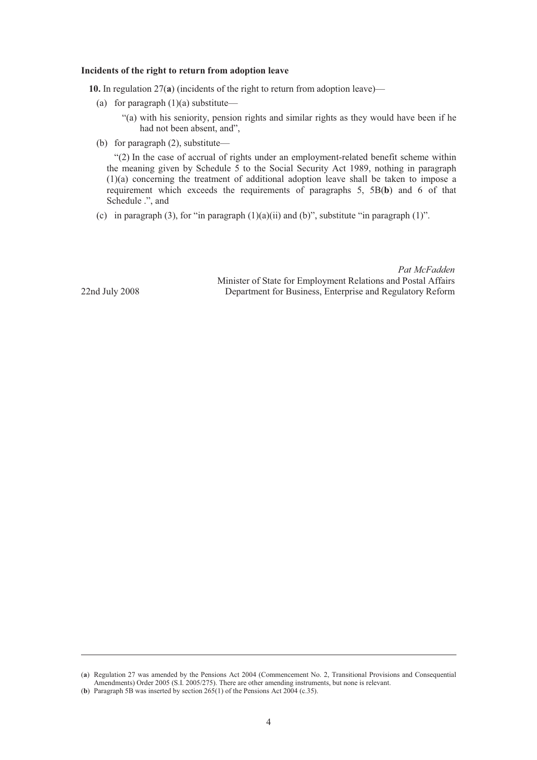#### **Incidents of the right to return from adoption leave**

**10.** In regulation 27(**a**) (incidents of the right to return from adoption leave)—

(a) for paragraph  $(1)(a)$  substitute—

"(a) with his seniority, pension rights and similar rights as they would have been if he had not been absent, and",

(b) for paragraph (2), substitute—

"(2) In the case of accrual of rights under an employment-related benefit scheme within the meaning given by Schedule 5 to the Social Security Act 1989, nothing in paragraph (1)(a) concerning the treatment of additional adoption leave shall be taken to impose a requirement which exceeds the requirements of paragraphs 5, 5B(**b**) and 6 of that Schedule .", and

Minister of State for Employment Relations and Postal Affairs

*Pat McFadden*

(c) in paragraph (3), for "in paragraph  $(1)(a)(ii)$  and  $(b)$ ", substitute "in paragraph  $(1)$ ".

22nd July 2008 Department for Business, Enterprise and Regulatory Reform

-

(**a**) Regulation 27 was amended by the Pensions Act 2004 (Commencement No. 2, Transitional Provisions and Consequential Amendments) Order 2005 (S.I. 2005/275). There are other amending instruments, but none is relevant.

<sup>(</sup>**b**) Paragraph 5B was inserted by section 265(1) of the Pensions Act 2004 (c.35).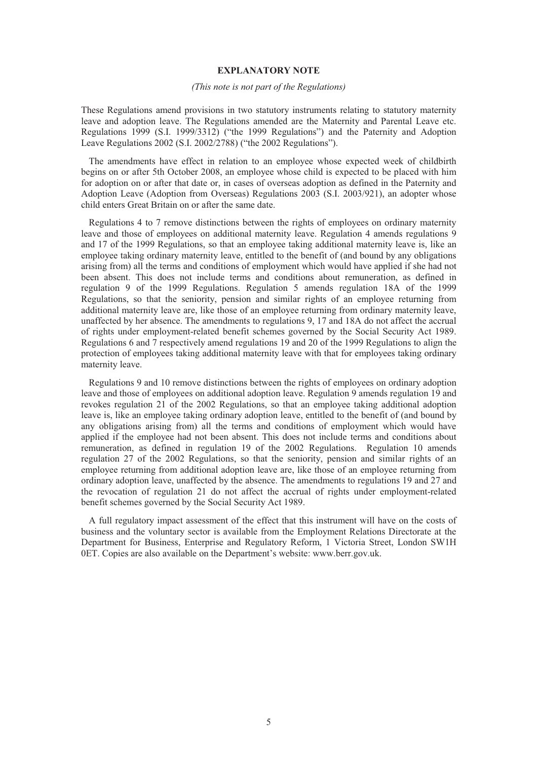## **EXPLANATORY NOTE**

#### *(This note is not part of the Regulations)*

These Regulations amend provisions in two statutory instruments relating to statutory maternity leave and adoption leave. The Regulations amended are the Maternity and Parental Leave etc. Regulations 1999 (S.I. 1999/3312) ("the 1999 Regulations") and the Paternity and Adoption Leave Regulations 2002 (S.I. 2002/2788) ("the 2002 Regulations").

The amendments have effect in relation to an employee whose expected week of childbirth begins on or after 5th October 2008, an employee whose child is expected to be placed with him for adoption on or after that date or, in cases of overseas adoption as defined in the Paternity and Adoption Leave (Adoption from Overseas) Regulations 2003 (S.I. 2003/921), an adopter whose child enters Great Britain on or after the same date.

Regulations 4 to 7 remove distinctions between the rights of employees on ordinary maternity leave and those of employees on additional maternity leave. Regulation 4 amends regulations 9 and 17 of the 1999 Regulations, so that an employee taking additional maternity leave is, like an employee taking ordinary maternity leave, entitled to the benefit of (and bound by any obligations arising from) all the terms and conditions of employment which would have applied if she had not been absent. This does not include terms and conditions about remuneration, as defined in regulation 9 of the 1999 Regulations. Regulation 5 amends regulation 18A of the 1999 Regulations, so that the seniority, pension and similar rights of an employee returning from additional maternity leave are, like those of an employee returning from ordinary maternity leave, unaffected by her absence. The amendments to regulations 9, 17 and 18A do not affect the accrual of rights under employment-related benefit schemes governed by the Social Security Act 1989. Regulations 6 and 7 respectively amend regulations 19 and 20 of the 1999 Regulations to align the protection of employees taking additional maternity leave with that for employees taking ordinary maternity leave.

Regulations 9 and 10 remove distinctions between the rights of employees on ordinary adoption leave and those of employees on additional adoption leave. Regulation 9 amends regulation 19 and revokes regulation 21 of the 2002 Regulations, so that an employee taking additional adoption leave is, like an employee taking ordinary adoption leave, entitled to the benefit of (and bound by any obligations arising from) all the terms and conditions of employment which would have applied if the employee had not been absent. This does not include terms and conditions about remuneration, as defined in regulation 19 of the 2002 Regulations. Regulation 10 amends regulation 27 of the 2002 Regulations, so that the seniority, pension and similar rights of an employee returning from additional adoption leave are, like those of an employee returning from ordinary adoption leave, unaffected by the absence. The amendments to regulations 19 and 27 and the revocation of regulation 21 do not affect the accrual of rights under employment-related benefit schemes governed by the Social Security Act 1989.

A full regulatory impact assessment of the effect that this instrument will have on the costs of business and the voluntary sector is available from the Employment Relations Directorate at the Department for Business, Enterprise and Regulatory Reform, 1 Victoria Street, London SW1H 0ET. Copies are also available on the Department's website: www.berr.gov.uk.